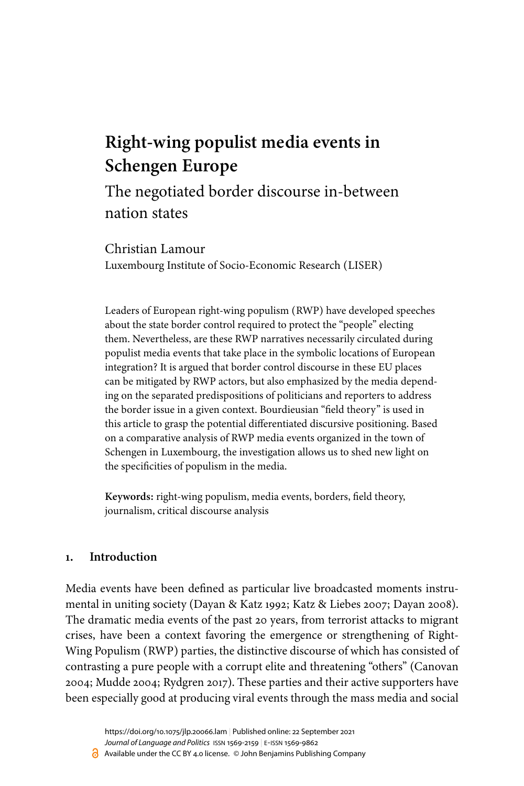# **Right-wing populist media events in Schengen Europe**

The negotiated border discourse in-between nation states

Christian Lamour Luxembourg Institute of Socio-Economic Research (LISER)

Leaders of European right-wing populism (RWP) have developed speeches about the state border control required to protect the "people" electing them. Nevertheless, are these RWP narratives necessarily circulated during populist media events that take place in the symbolic locations of European integration? It is argued that border control discourse in these EU places can be mitigated by RWP actors, but also emphasized by the media depending on the separated predispositions of politicians and reporters to address the border issue in a given context. Bourdieusian "field theory" is used in this article to grasp the potential differentiated discursive positioning. Based on a comparative analysis of RWP media events organized in the town of Schengen in Luxembourg, the investigation allows us to shed new light on the specificities of populism in the media.

**Keywords:** right-wing populism, media events, borders, field theory, journalism, critical discourse analysis

#### **1. Introduction**

Media events have been defined as particular live broadcasted moments instrumental in uniting society ([Dayan & Katz 1992;](#page-19-0) [Katz & Liebes 2007;](#page-19-1) [Dayan 2008\)](#page-18-0). The dramatic media events of the past 20 years, from terrorist attacks to migrant crises, have been a context favoring the emergence or strengthening of Right-Wing Populism (RWP) parties, the distinctive discourse of which has consisted of contrasting a pure people with a corrupt elite and threatening "others" ([Canovan](#page-18-1) [2004](#page-18-1); [Mudde 2004;](#page-20-0) [Rydgren 2017](#page-21-0)). These parties and their active supporters have been especially good at producing viral events through the mass media and social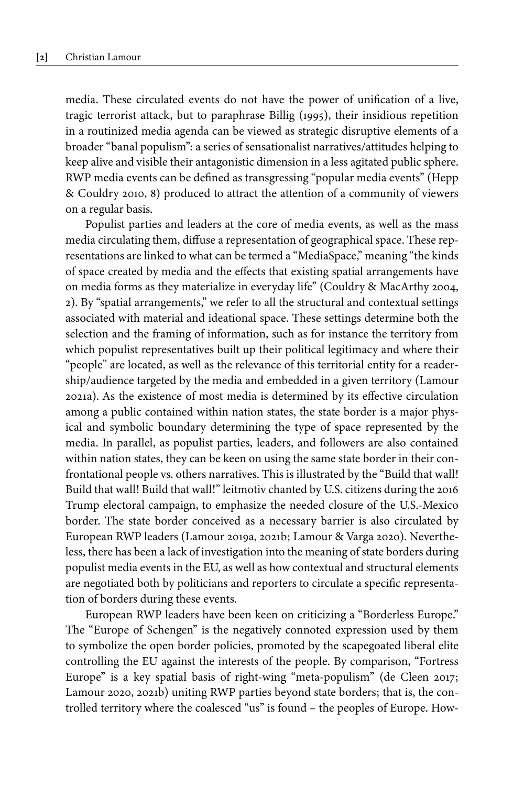media. These circulated events do not have the power of unification of a live, tragic terrorist attack, but to paraphrase [Billig \(1995\)](#page-18-2), their insidious repetition in a routinized media agenda can be viewed as strategic disruptive elements of a broader "banal populism": a series of sensationalist narratives/attitudes helping to keep alive and visible their antagonistic dimension in a less agitated public sphere. RWP media events can be defined as transgressing "popular media events" [\(Hepp](#page-19-2) [& Couldry 2010,](#page-19-2) 8) produced to attract the attention of a community of viewers on a regular basis.

Populist parties and leaders at the core of media events, as well as the mass media circulating them, diffuse a representation of geographical space. These representations are linked to what can be termed a "MediaSpace," meaning "the kinds of space created by media and the effects that existing spatial arrangements have on media forms as they materialize in everyday life" [\(Couldry & MacArthy 2004,](#page-18-3) 2). By "spatial arrangements," we refer to all the structural and contextual settings associated with material and ideational space. These settings determine both the selection and the framing of information, such as for instance the territory from which populist representatives built up their political legitimacy and where their "people" are located, as well as the relevance of this territorial entity for a readership/audience targeted by the media and embedded in a given territory ([Lamour](#page-20-1) [2021a\)](#page-20-1). As the existence of most media is determined by its effective circulation among a public contained within nation states, the state border is a major physical and symbolic boundary determining the type of space represented by the media. In parallel, as populist parties, leaders, and followers are also contained within nation states, they can be keen on using the same state border in their confrontational people vs. others narratives. This is illustrated by the "Build that wall! Build that wall! Build that wall!" leitmotiv chanted by U.S. citizens during the 2016 Trump electoral campaign, to emphasize the needed closure of the U.S.-Mexico border. The state border conceived as a necessary barrier is also circulated by European RWP leaders [\(Lamour 2019a,](#page-19-3) [2021b](#page-20-2); [Lamour & Varga 2020](#page-20-3)). Nevertheless, there has been a lack of investigation into the meaning of state borders during populist media events in the EU, as well as how contextual and structural elements are negotiated both by politicians and reporters to circulate a specific representation of borders during these events.

European RWP leaders have been keen on criticizing a "Borderless Europe." The "Europe of Schengen" is the negatively connoted expression used by them to symbolize the open border policies, promoted by the scapegoated liberal elite controlling the EU against the interests of the people. By comparison, "Fortress Europe" is a key spatial basis of right-wing "meta-populism" [\(de Cleen 2017;](#page-19-4) [Lamour 2020](#page-20-4), [2021b](#page-20-2)) uniting RWP parties beyond state borders; that is, the controlled territory where the coalesced "us" is found – the peoples of Europe. How-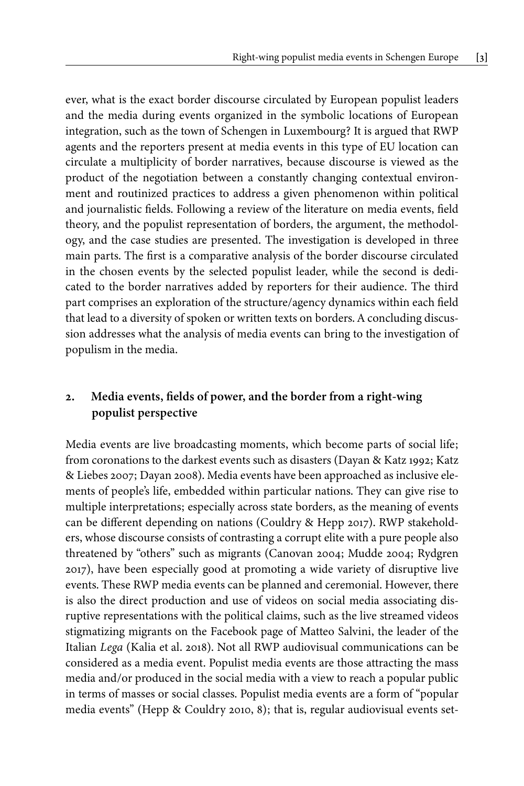ever, what is the exact border discourse circulated by European populist leaders and the media during events organized in the symbolic locations of European integration, such as the town of Schengen in Luxembourg? It is argued that RWP agents and the reporters present at media events in this type of EU location can circulate a multiplicity of border narratives, because discourse is viewed as the product of the negotiation between a constantly changing contextual environment and routinized practices to address a given phenomenon within political and journalistic fields. Following a review of the literature on media events, field theory, and the populist representation of borders, the argument, the methodology, and the case studies are presented. The investigation is developed in three main parts. The first is a comparative analysis of the border discourse circulated in the chosen events by the selected populist leader, while the second is dedicated to the border narratives added by reporters for their audience. The third part comprises an exploration of the structure/agency dynamics within each field that lead to a diversity of spoken or written texts on borders. A concluding discussion addresses what the analysis of media events can bring to the investigation of populism in the media.

# **2. Media events, fields of power, and the border from a right-wing populist perspective**

Media events are live broadcasting moments, which become parts of social life; from coronations to the darkest events such as disasters ([Dayan & Katz 1992](#page-19-0); [Katz](#page-19-1) [& Liebes 2007;](#page-19-1) [Dayan 2008](#page-18-0)). Media events have been approached as inclusive elements of people's life, embedded within particular nations. They can give rise to multiple interpretations; especially across state borders, as the meaning of events can be different depending on nations [\(Couldry & Hepp 2017](#page-18-4)). RWP stakeholders, whose discourse consists of contrasting a corrupt elite with a pure people also threatened by "others" such as migrants ([Canovan 2004;](#page-18-1) [Mudde 2004](#page-20-0); [Rydgren](#page-21-0) [2017\)](#page-21-0), have been especially good at promoting a wide variety of disruptive live events. These RWP media events can be planned and ceremonial. However, there is also the direct production and use of videos on social media associating disruptive representations with the political claims, such as the live streamed videos stigmatizing migrants on the Facebook page of Matteo Salvini, the leader of the Italian *Lega* [\(Kalia et](#page-19-5) al. 2018). Not all RWP audiovisual communications can be considered as a media event. Populist media events are those attracting the mass media and/or produced in the social media with a view to reach a popular public in terms of masses or social classes. Populist media events are a form of "popular media events" ([Hepp & Couldry 2010](#page-19-2), 8); that is, regular audiovisual events set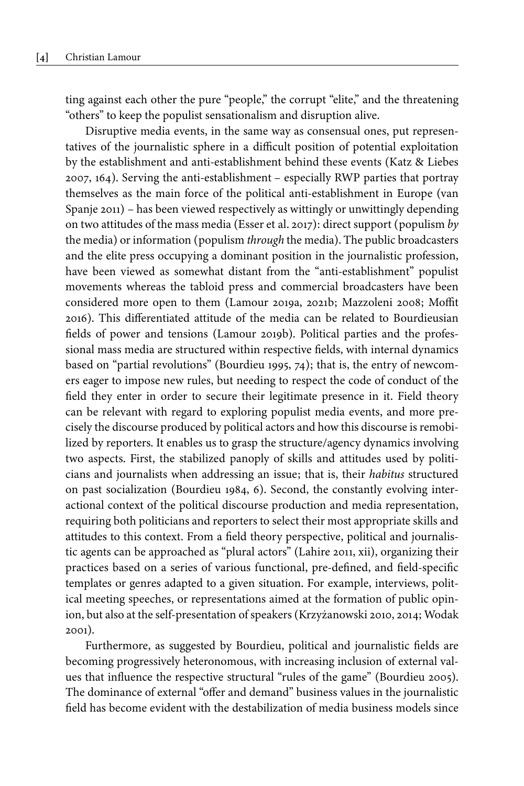ting against each other the pure "people," the corrupt "elite," and the threatening "others" to keep the populist sensationalism and disruption alive.

Disruptive media events, in the same way as consensual ones, put representatives of the journalistic sphere in a difficult position of potential exploitation by the establishment and anti-establishment behind these events ([Katz & Liebes](#page-19-1) [2007,](#page-19-1) 164). Serving the anti-establishment – especially RWP parties that portray themselves as the main force of the political anti-establishment in Europe ([van](#page-21-1) [Spanje 2011](#page-21-1)) – has been viewed respectively as wittingly or unwittingly depending on two attitudes of the mass media [\(Esser et](#page-19-6) al. 2017): direct support (populism *by* the media) or information (populism *through* the media). The public broadcasters and the elite press occupying a dominant position in the journalistic profession, have been viewed as somewhat distant from the "anti-establishment" populist movements whereas the tabloid press and commercial broadcasters have been considered more open to them [\(Lamour 2019a](#page-19-3), [2021b](#page-20-2); [Mazzoleni 2008](#page-20-5); Moffit 2016). This differentiated attitude of the media can be related to Bourdieusian fields of power and tensions ([Lamour 2019b\)](#page-19-7). Political parties and the professional mass media are structured within respective fields, with internal dynamics based on "partial revolutions" ([Bourdieu 1995,](#page-18-5) 74); that is, the entry of newcomers eager to impose new rules, but needing to respect the code of conduct of the field they enter in order to secure their legitimate presence in it. Field theory can be relevant with regard to exploring populist media events, and more precisely the discourse produced by political actors and how this discourse is remobilized by reporters. It enables us to grasp the structure/agency dynamics involving two aspects. First, the stabilized panoply of skills and attitudes used by politicians and journalists when addressing an issue; that is, their *habitus* structured on past socialization ([Bourdieu 1984](#page-18-6), 6). Second, the constantly evolving interactional context of the political discourse production and media representation, requiring both politicians and reporters to select their most appropriate skills and attitudes to this context. From a field theory perspective, political and journalistic agents can be approached as "plural actors" [\(Lahire 2011](#page-19-8), xii), organizing their practices based on a series of various functional, pre-defined, and field-specific templates or genres adapted to a given situation. For example, interviews, political meeting speeches, or representations aimed at the formation of public opinion, but also at the self-presentation of speakers [\(Krzyżanowski 2010](#page-19-9), [2014](#page-19-10); [Wodak](#page-21-2) [2001\)](#page-21-2).

Furthermore, as suggested by Bourdieu, political and journalistic fields are becoming progressively heteronomous, with increasing inclusion of external values that influence the respective structural "rules of the game" [\(Bourdieu 2005\)](#page-18-7). The dominance of external "offer and demand" business values in the journalistic field has become evident with the destabilization of media business models since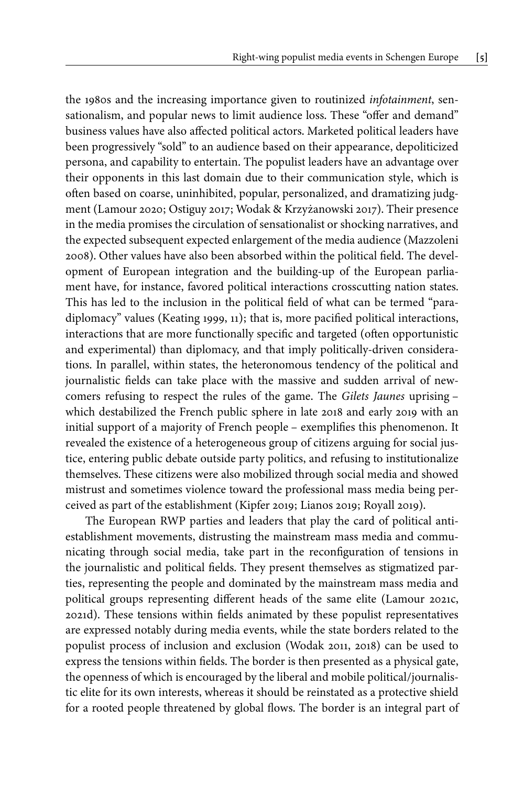the 1980s and the increasing importance given to routinized *infotainment*, sensationalism, and popular news to limit audience loss. These "offer and demand" business values have also affected political actors. Marketed political leaders have been progressively "sold" to an audience based on their appearance, depoliticized persona, and capability to entertain. The populist leaders have an advantage over their opponents in this last domain due to their communication style, which is often based on coarse, uninhibited, popular, personalized, and dramatizing judgment [\(Lamour 2020;](#page-20-4) [Ostiguy 2017](#page-20-6); [Wodak & Krzyżanowski 2017](#page-21-3)). Their presence in the media promises the circulation of sensationalist or shocking narratives, and the expected subsequent expected enlargement of the media audience ([Mazzoleni](#page-20-5) [2008](#page-20-5)). Other values have also been absorbed within the political field. The development of European integration and the building-up of the European parliament have, for instance, favored political interactions crosscutting nation states. This has led to the inclusion in the political field of what can be termed "paradiplomacy" values [\(Keating 1999](#page-19-11), 11); that is, more pacified political interactions, interactions that are more functionally specific and targeted (often opportunistic and experimental) than diplomacy, and that imply politically-driven considerations. In parallel, within states, the heteronomous tendency of the political and journalistic fields can take place with the massive and sudden arrival of newcomers refusing to respect the rules of the game. The *Gilets Jaunes* uprising – which destabilized the French public sphere in late 2018 and early 2019 with an initial support of a majority of French people – exemplifies this phenomenon. It revealed the existence of a heterogeneous group of citizens arguing for social justice, entering public debate outside party politics, and refusing to institutionalize themselves. These citizens were also mobilized through social media and showed mistrust and sometimes violence toward the professional mass media being perceived as part of the establishment ([Kipfer 2019;](#page-19-12) [Lianos 2019](#page-20-7); [Royall 2019\)](#page-20-8).

The European RWP parties and leaders that play the card of political antiestablishment movements, distrusting the mainstream mass media and communicating through social media, take part in the reconfiguration of tensions in the journalistic and political fields. They present themselves as stigmatized parties, representing the people and dominated by the mainstream mass media and political groups representing different heads of the same elite ([Lamour 2021c,](#page-20-9) [2021d\)](#page-20-10). These tensions within fields animated by these populist representatives are expressed notably during media events, while the state borders related to the populist process of inclusion and exclusion ([Wodak 2011](#page-21-4), [2018\)](#page-21-5) can be used to express the tensions within fields. The border is then presented as a physical gate, the openness of which is encouraged by the liberal and mobile political/journalistic elite for its own interests, whereas it should be reinstated as a protective shield for a rooted people threatened by global flows. The border is an integral part of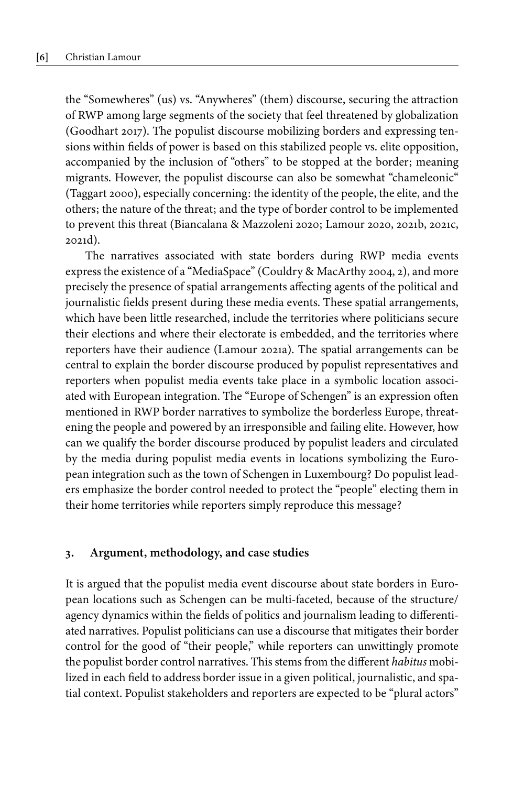the "Somewheres" (us) vs. "Anywheres" (them) discourse, securing the attraction of RWP among large segments of the society that feel threatened by globalization [\(Goodhart 2017](#page-19-13)). The populist discourse mobilizing borders and expressing tensions within fields of power is based on this stabilized people vs. elite opposition, accompanied by the inclusion of "others" to be stopped at the border; meaning migrants. However, the populist discourse can also be somewhat "chameleonic" [\(Taggart 2000\)](#page-21-6), especially concerning: the identity of the people, the elite, and the others; the nature of the threat; and the type of border control to be implemented to prevent this threat ([Biancalana & Mazzoleni 2020](#page-18-8); [Lamour 2020](#page-20-4), [2021b,](#page-20-2) [2021c,](#page-20-9) [2021d\)](#page-20-10).

The narratives associated with state borders during RWP media events express the existence of a "MediaSpace" ([Couldry & MacArthy 2004,](#page-18-3) 2), and more precisely the presence of spatial arrangements affecting agents of the political and journalistic fields present during these media events. These spatial arrangements, which have been little researched, include the territories where politicians secure their elections and where their electorate is embedded, and the territories where reporters have their audience ([Lamour 2021a\)](#page-20-1). The spatial arrangements can be central to explain the border discourse produced by populist representatives and reporters when populist media events take place in a symbolic location associated with European integration. The "Europe of Schengen" is an expression often mentioned in RWP border narratives to symbolize the borderless Europe, threatening the people and powered by an irresponsible and failing elite. However, how can we qualify the border discourse produced by populist leaders and circulated by the media during populist media events in locations symbolizing the European integration such as the town of Schengen in Luxembourg? Do populist leaders emphasize the border control needed to protect the "people" electing them in their home territories while reporters simply reproduce this message?

#### **3. Argument, methodology, and case studies**

It is argued that the populist media event discourse about state borders in European locations such as Schengen can be multi-faceted, because of the structure/ agency dynamics within the fields of politics and journalism leading to differentiated narratives. Populist politicians can use a discourse that mitigates their border control for the good of "their people," while reporters can unwittingly promote the populist border control narratives. This stems from the different *habitus* mobilized in each field to address border issue in a given political, journalistic, and spatial context. Populist stakeholders and reporters are expected to be "plural actors"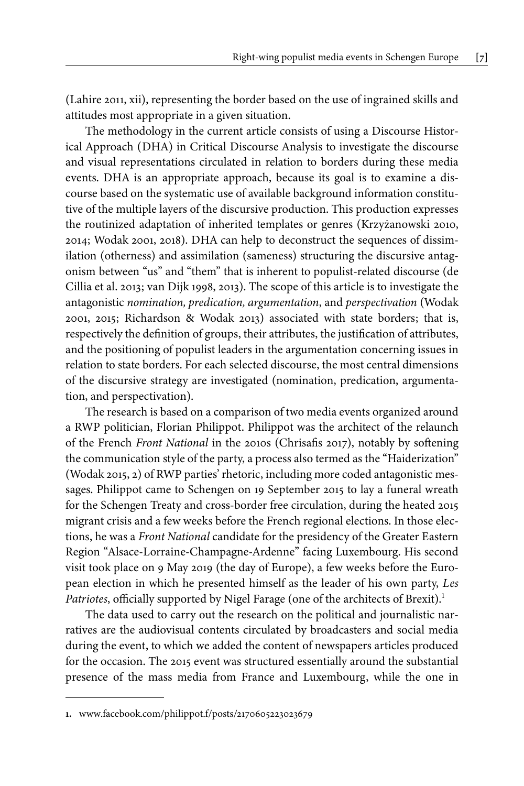[\(Lahire 2011](#page-19-8), xii), representing the border based on the use of ingrained skills and attitudes most appropriate in a given situation.

The methodology in the current article consists of using a Discourse Historical Approach (DHA) in Critical Discourse Analysis to investigate the discourse and visual representations circulated in relation to borders during these media events. DHA is an appropriate approach, because its goal is to examine a discourse based on the systematic use of available background information constitutive of the multiple layers of the discursive production. This production expresses the routinized adaptation of inherited templates or genres ([Krzyżanowski 2010,](#page-19-9) [2014](#page-19-10); [Wodak 2001,](#page-21-2) [2018\)](#page-21-5). DHA can help to deconstruct the sequences of dissimilation (otherness) and assimilation (sameness) structuring the discursive antagonism between "us" and "them" that is inherent to populist-related discourse ([de](#page-19-14) [Cillia et](#page-19-14) al. 2013; [van Dijk 1998](#page-21-7), [2013\)](#page-21-8). The scope of this article is to investigate the antagonistic *nomination, predication, argumentation*, and *perspectivation* [\(Wodak](#page-21-2) [2001,](#page-21-2) [2015](#page-21-9); [Richardson & Wodak 2013\)](#page-20-11) associated with state borders; that is, respectively the definition of groups, their attributes, the justification of attributes, and the positioning of populist leaders in the argumentation concerning issues in relation to state borders. For each selected discourse, the most central dimensions of the discursive strategy are investigated (nomination, predication, argumentation, and perspectivation).

The research is based on a comparison of two media events organized around a RWP politician, Florian Philippot. Philippot was the architect of the relaunch of the French *Front National* in the 2010s ([Chrisafis 2017\)](#page-18-9), notably by softening the communication style of the party, a process also termed as the "Haiderization" [\(Wodak 2015,](#page-21-9) 2) of RWP parties' rhetoric, including more coded antagonistic messages. Philippot came to Schengen on 19 September 2015 to lay a funeral wreath for the Schengen Treaty and cross-border free circulation, during the heated 2015 migrant crisis and a few weeks before the French regional elections. In those elections, he was a *Front National* candidate for the presidency of the Greater Eastern Region "Alsace-Lorraine-Champagne-Ardenne" facing Luxembourg. His second visit took place on 9 May 2019 (the day of Europe), a few weeks before the European election in which he presented himself as the leader of his own party, *Les Patriotes*, officially supported by Nigel Farage (one of the architects of Brexit).<sup>1</sup>

The data used to carry out the research on the political and journalistic narratives are the audiovisual contents circulated by broadcasters and social media during the event, to which we added the content of newspapers articles produced for the occasion. The 2015 event was structured essentially around the substantial presence of the mass media from France and Luxembourg, while the one in

**<sup>1.</sup>** [www.facebook.com/philippot.f/posts/2170605223023679](http://www.facebook.com/philippot.f/posts/2170605223023679)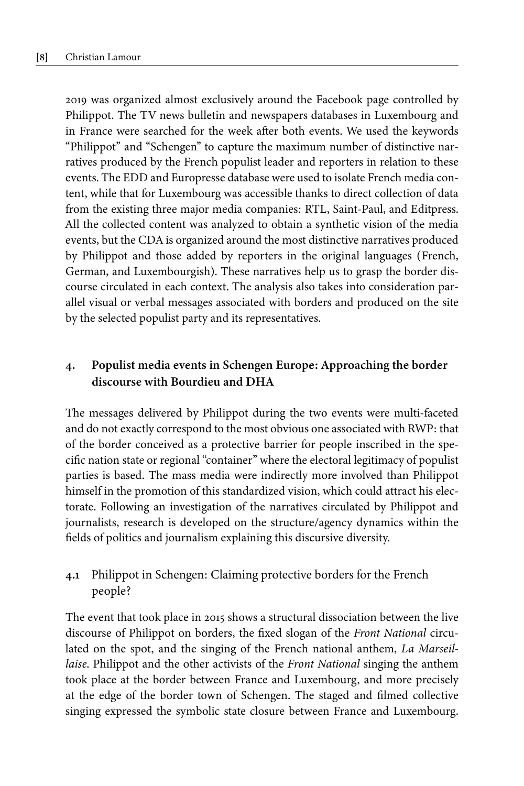2019 was organized almost exclusively around the Facebook page controlled by Philippot. The TV news bulletin and newspapers databases in Luxembourg and in France were searched for the week after both events. We used the keywords "Philippot" and "Schengen" to capture the maximum number of distinctive narratives produced by the French populist leader and reporters in relation to these events. The EDD and Europresse database were used to isolate French media content, while that for Luxembourg was accessible thanks to direct collection of data from the existing three major media companies: RTL, Saint-Paul, and Editpress. All the collected content was analyzed to obtain a synthetic vision of the media events, but the CDA is organized around the most distinctive narratives produced by Philippot and those added by reporters in the original languages (French, German, and Luxembourgish). These narratives help us to grasp the border discourse circulated in each context. The analysis also takes into consideration parallel visual or verbal messages associated with borders and produced on the site by the selected populist party and its representatives.

# **4. Populist media events in Schengen Europe: Approaching the border discourse with Bourdieu and DHA**

The messages delivered by Philippot during the two events were multi-faceted and do not exactly correspond to the most obvious one associated with RWP: that of the border conceived as a protective barrier for people inscribed in the specific nation state or regional "container" where the electoral legitimacy of populist parties is based. The mass media were indirectly more involved than Philippot himself in the promotion of this standardized vision, which could attract his electorate. Following an investigation of the narratives circulated by Philippot and journalists, research is developed on the structure/agency dynamics within the fields of politics and journalism explaining this discursive diversity.

## **4.1** Philippot in Schengen: Claiming protective borders for the French people?

The event that took place in 2015 shows a structural dissociation between the live discourse of Philippot on borders, the fixed slogan of the *Front National* circulated on the spot, and the singing of the French national anthem, *La Marseillaise*. Philippot and the other activists of the *Front National* singing the anthem took place at the border between France and Luxembourg, and more precisely at the edge of the border town of Schengen. The staged and filmed collective singing expressed the symbolic state closure between France and Luxembourg.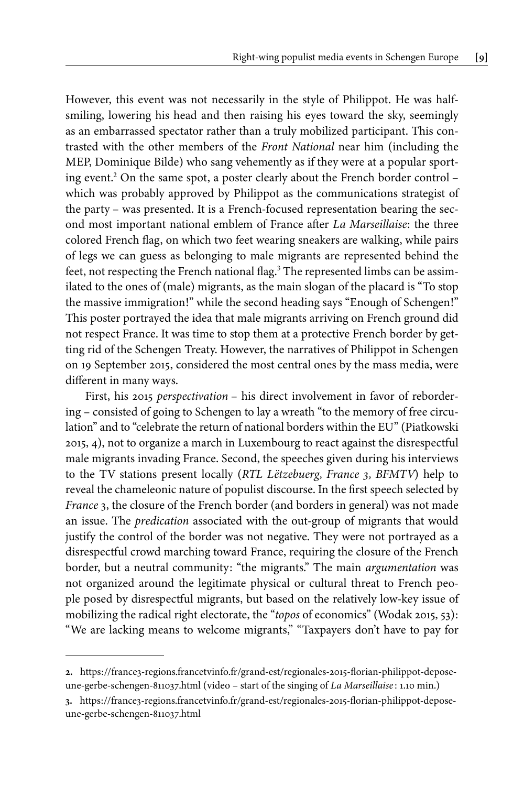However, this event was not necessarily in the style of Philippot. He was halfsmiling, lowering his head and then raising his eyes toward the sky, seemingly as an embarrassed spectator rather than a truly mobilized participant. This contrasted with the other members of the *Front National* near him (including the MEP, Dominique Bilde) who sang vehemently as if they were at a popular sporting event. <sup>2</sup> On the same spot, a poster clearly about the French border control – which was probably approved by Philippot as the communications strategist of the party – was presented. It is a French-focused representation bearing the second most important national emblem of France after *La Marseillaise*: the three colored French flag, on which two feet wearing sneakers are walking, while pairs of legs we can guess as belonging to male migrants are represented behind the feet, not respecting the French national flag. <sup>3</sup> The represented limbs can be assimilated to the ones of (male) migrants, as the main slogan of the placard is "To stop the massive immigration!" while the second heading says "Enough of Schengen!" This poster portrayed the idea that male migrants arriving on French ground did not respect France. It was time to stop them at a protective French border by getting rid of the Schengen Treaty. However, the narratives of Philippot in Schengen on 19 September 2015, considered the most central ones by the mass media, were different in many ways.

First, his 2015 *perspectivation* – his direct involvement in favor of rebordering – consisted of going to Schengen to lay a wreath "to the memory of free circulation" and to "celebrate the return of national borders within the EU" ([Piatkowski](#page-19-15) [2015](#page-19-15), 4), not to organize a march in Luxembourg to react against the disrespectful male migrants invading France. Second, the speeches given during his interviews to the TV stations present locally (*RTL Lëtzebuerg, France 3, BFMTV*) help to reveal the chameleonic nature of populist discourse. In the first speech selected by *France* 3, the closure of the French border (and borders in general) was not made an issue. The *predication* associated with the out-group of migrants that would justify the control of the border was not negative. They were not portrayed as a disrespectful crowd marching toward France, requiring the closure of the French border, but a neutral community: "the migrants." The main *argumentation* was not organized around the legitimate physical or cultural threat to French people posed by disrespectful migrants, but based on the relatively low-key issue of mobilizing the radical right electorate, the "*topos* of economics" [\(Wodak 2015,](#page-21-9) 53): "We are lacking means to welcome migrants," "Taxpayers don't have to pay for

**<sup>2.</sup>** [https://france3-regions.francetvinfo.fr/grand-est/regionales-2015-florian-philippot-depose](https://france3-regions.francetvinfo.fr/grand-est/regionales-2015-florian-philippot-depose-une-gerbe-schengen-811037.html)[une-gerbe-schengen-811037.html](https://france3-regions.francetvinfo.fr/grand-est/regionales-2015-florian-philippot-depose-une-gerbe-schengen-811037.html) (video – start of the singing of *La Marseillaise* : 1.10 min.)

**<sup>3.</sup>** [https://france3-regions.francetvinfo.fr/grand-est/regionales-2015-florian-philippot-depose](https://france3-regions.francetvinfo.fr/grand-est/regionales-2015-florian-philippot-depose-une-gerbe-schengen-811037.html)[une-gerbe-schengen-811037.html](https://france3-regions.francetvinfo.fr/grand-est/regionales-2015-florian-philippot-depose-une-gerbe-schengen-811037.html)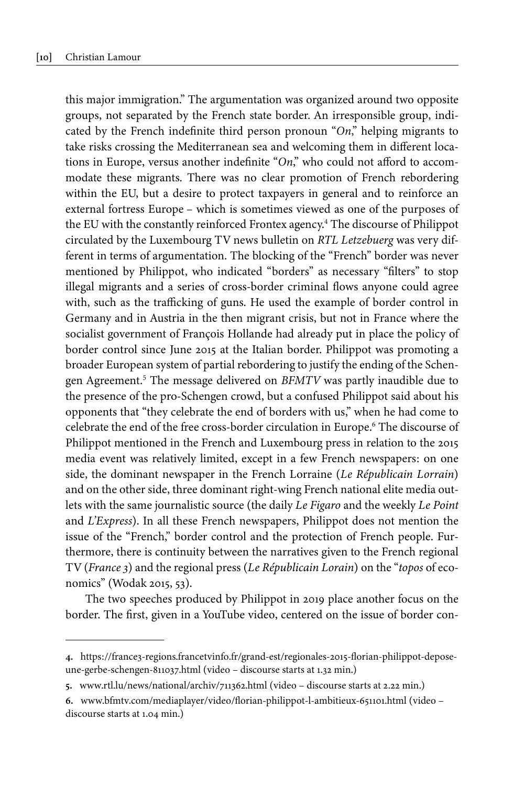this major immigration." The argumentation was organized around two opposite groups, not separated by the French state border. An irresponsible group, indicated by the French indefinite third person pronoun "*On*," helping migrants to take risks crossing the Mediterranean sea and welcoming them in different locations in Europe, versus another indefinite "*On*," who could not afford to accommodate these migrants. There was no clear promotion of French rebordering within the EU, but a desire to protect taxpayers in general and to reinforce an external fortress Europe – which is sometimes viewed as one of the purposes of the EU with the constantly reinforced Frontex agency. <sup>4</sup> The discourse of Philippot circulated by the Luxembourg TV news bulletin on *RTL Letzebuerg* was very different in terms of argumentation. The blocking of the "French" border was never mentioned by Philippot, who indicated "borders" as necessary "filters" to stop illegal migrants and a series of cross-border criminal flows anyone could agree with, such as the trafficking of guns. He used the example of border control in Germany and in Austria in the then migrant crisis, but not in France where the socialist government of François Hollande had already put in place the policy of border control since June 2015 at the Italian border. Philippot was promoting a broader European system of partial rebordering to justify the ending of the Schengen Agreement. <sup>5</sup> The message delivered on *BFMTV* was partly inaudible due to the presence of the pro-Schengen crowd, but a confused Philippot said about his opponents that "they celebrate the end of borders with us," when he had come to celebrate the end of the free cross-border circulation in Europe. <sup>6</sup> The discourse of Philippot mentioned in the French and Luxembourg press in relation to the 2015 media event was relatively limited, except in a few French newspapers: on one side, the dominant newspaper in the French Lorraine (*Le Républicain Lorrain*) and on the other side, three dominant right-wing French national elite media outlets with the same journalistic source (the daily *Le Figaro* and the weekly *Le Point* and *L'Express*). In all these French newspapers, Philippot does not mention the issue of the "French," border control and the protection of French people. Furthermore, there is continuity between the narratives given to the French regional TV (*France 3*) and the regional press (*Le Républicain Lorain*) on the "*topos* of economics" [\(Wodak 2015,](#page-21-9) 53).

The two speeches produced by Philippot in 2019 place another focus on the border. The first, given in a YouTube video, centered on the issue of border con-

**<sup>4.</sup>** [https://france3-regions.francetvinfo.fr/grand-est/regionales-2015-florian-philippot-depose](https://france3-regions.francetvinfo.fr/grand-est/regionales-2015-florian-philippot-depose-une-gerbe-schengen-811037.html)[une-gerbe-schengen-811037.html](https://france3-regions.francetvinfo.fr/grand-est/regionales-2015-florian-philippot-depose-une-gerbe-schengen-811037.html) (video – discourse starts at 1.32 min.)

**<sup>5.</sup>** [www.rtl.lu/news/national/archiv/711362.html](http://www.rtl.lu/news/national/archiv/711362.html) (video – discourse starts at 2.22 min.)

**<sup>6.</sup>** [www.bfmtv.com/mediaplayer/video/florian-philippot-l-ambitieux-651101.html](http://www.bfmtv.com/mediaplayer/video/florian-philippot-l-ambitieux-651101.html) (video – discourse starts at 1.04 min.)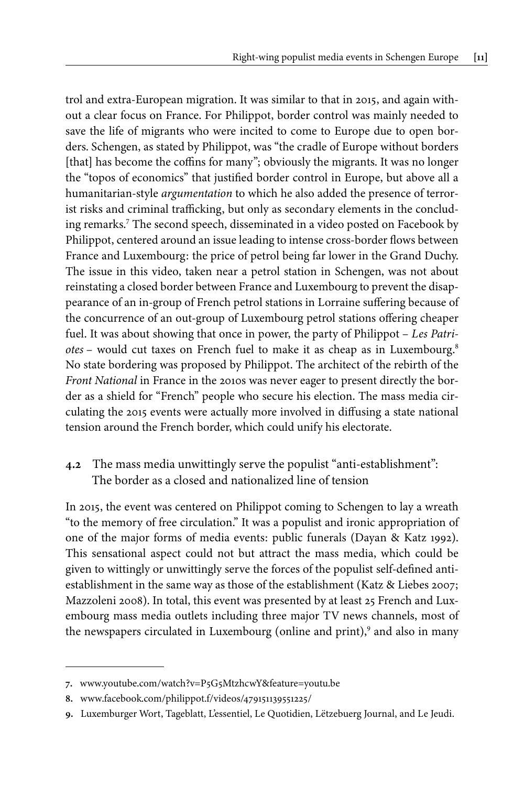trol and extra-European migration. It was similar to that in 2015, and again without a clear focus on France. For Philippot, border control was mainly needed to save the life of migrants who were incited to come to Europe due to open borders. Schengen, as stated by Philippot, was "the cradle of Europe without borders [that] has become the coffins for many"; obviously the migrants. It was no longer the "topos of economics" that justified border control in Europe, but above all a humanitarian-style *argumentation* to which he also added the presence of terrorist risks and criminal trafficking, but only as secondary elements in the concluding remarks.<sup>7</sup> The second speech, disseminated in a video posted on Facebook by Philippot, centered around an issue leading to intense cross-border flows between France and Luxembourg: the price of petrol being far lower in the Grand Duchy. The issue in this video, taken near a petrol station in Schengen, was not about reinstating a closed border between France and Luxembourg to prevent the disappearance of an in-group of French petrol stations in Lorraine suffering because of the concurrence of an out-group of Luxembourg petrol stations offering cheaper fuel. It was about showing that once in power, the party of Philippot – *Les Patriotes* – would cut taxes on French fuel to make it as cheap as in Luxembourg. 8 No state bordering was proposed by Philippot. The architect of the rebirth of the *Front National* in France in the 2010s was never eager to present directly the border as a shield for "French" people who secure his election. The mass media circulating the 2015 events were actually more involved in diffusing a state national tension around the French border, which could unify his electorate.

# **4.2** The mass media unwittingly serve the populist "anti-establishment": The border as a closed and nationalized line of tension

In 2015, the event was centered on Philippot coming to Schengen to lay a wreath "to the memory of free circulation." It was a populist and ironic appropriation of one of the major forms of media events: public funerals [\(Dayan & Katz 1992\)](#page-19-0). This sensational aspect could not but attract the mass media, which could be given to wittingly or unwittingly serve the forces of the populist self-defined antiestablishment in the same way as those of the establishment [\(Katz & Liebes 2007;](#page-19-1) [Mazzoleni 2008\)](#page-20-5). In total, this event was presented by at least 25 French and Luxembourg mass media outlets including three major TV news channels, most of the newspapers circulated in Luxembourg (online and print),<sup>9</sup> and also in many

**<sup>7.</sup>** [www.youtube.com/watch?v=P5G5MtzhcwY&feature=youtu.be](http://www.youtube.com/watch?v=P5G5MtzhcwY&feature=youtu.be)

**<sup>8.</sup>** [www.facebook.com/philippot.f/videos/479151139551225/](http://www.facebook.com/philippot.f/videos/479151139551225/)

**<sup>9.</sup>** Luxemburger Wort, Tageblatt, L'essentiel, Le Quotidien, Lëtzebuerg Journal, and Le Jeudi.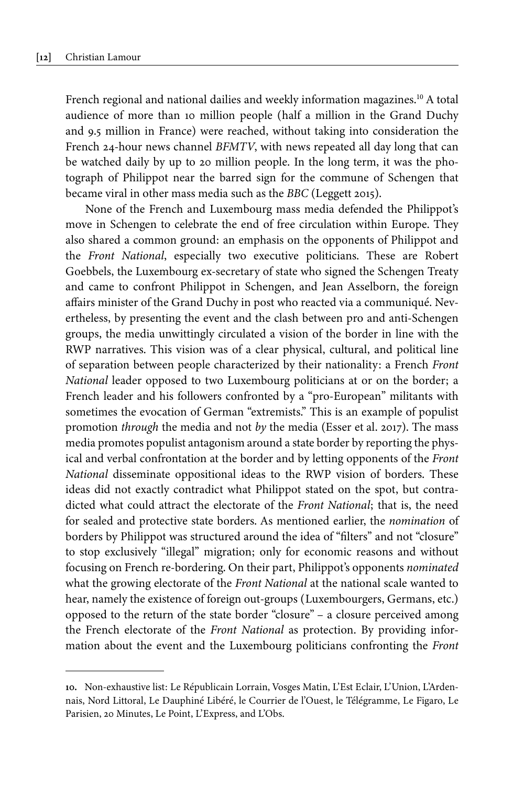French regional and national dailies and weekly information magazines.<sup>10</sup> A total audience of more than 10 million people (half a million in the Grand Duchy and 9.5 million in France) were reached, without taking into consideration the French 24-hour news channel *BFMTV*, with news repeated all day long that can be watched daily by up to 20 million people. In the long term, it was the photograph of Philippot near the barred sign for the commune of Schengen that became viral in other mass media such as the *BBC* [\(Leggett 2015](#page-20-12)).

None of the French and Luxembourg mass media defended the Philippot's move in Schengen to celebrate the end of free circulation within Europe. They also shared a common ground: an emphasis on the opponents of Philippot and the *Front National*, especially two executive politicians. These are Robert Goebbels, the Luxembourg ex-secretary of state who signed the Schengen Treaty and came to confront Philippot in Schengen, and Jean Asselborn, the foreign affairs minister of the Grand Duchy in post who reacted via a communiqué. Nevertheless, by presenting the event and the clash between pro and anti-Schengen groups, the media unwittingly circulated a vision of the border in line with the RWP narratives. This vision was of a clear physical, cultural, and political line of separation between people characterized by their nationality: a French *Front National* leader opposed to two Luxembourg politicians at or on the border; a French leader and his followers confronted by a "pro-European" militants with sometimes the evocation of German "extremists." This is an example of populist promotion *through* the media and not *by* the media ([Esser et](#page-19-6) al. 2017). The mass media promotes populist antagonism around a state border by reporting the physical and verbal confrontation at the border and by letting opponents of the *Front National* disseminate oppositional ideas to the RWP vision of borders. These ideas did not exactly contradict what Philippot stated on the spot, but contradicted what could attract the electorate of the *Front National*; that is, the need for sealed and protective state borders. As mentioned earlier, the *nomination* of borders by Philippot was structured around the idea of "filters" and not "closure" to stop exclusively "illegal" migration; only for economic reasons and without focusing on French re-bordering. On their part, Philippot's opponents *nominated* what the growing electorate of the *Front National* at the national scale wanted to hear, namely the existence of foreign out-groups (Luxembourgers, Germans, etc.) opposed to the return of the state border "closure" – a closure perceived among the French electorate of the *Front National* as protection. By providing information about the event and the Luxembourg politicians confronting the *Front*

**<sup>10.</sup>** Non-exhaustive list: Le Républicain Lorrain, Vosges Matin, L'Est Eclair, L'Union, L'Ardennais, Nord Littoral, Le Dauphiné Libéré, le Courrier de l'Ouest, le Télégramme, Le Figaro, Le Parisien, 20 Minutes, Le Point, L'Express, and L'Obs.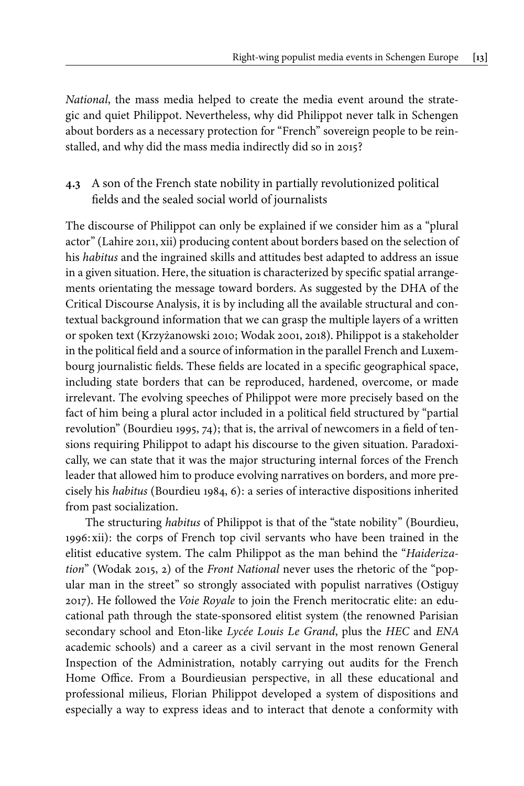*National*, the mass media helped to create the media event around the strategic and quiet Philippot. Nevertheless, why did Philippot never talk in Schengen about borders as a necessary protection for "French" sovereign people to be reinstalled, and why did the mass media indirectly did so in 2015?

## **4.3** A son of the French state nobility in partially revolutionized political fields and the sealed social world of journalists

The discourse of Philippot can only be explained if we consider him as a "plural actor" [\(Lahire 2011,](#page-19-8) xii) producing content about borders based on the selection of his *habitus* and the ingrained skills and attitudes best adapted to address an issue in a given situation. Here, the situation is characterized by specific spatial arrangements orientating the message toward borders. As suggested by the DHA of the Critical Discourse Analysis, it is by including all the available structural and contextual background information that we can grasp the multiple layers of a written or spoken text [\(Krzyżanowski 2010](#page-19-9); [Wodak 2001](#page-21-2), [2018](#page-21-5)). Philippot is a stakeholder in the political field and a source of information in the parallel French and Luxembourg journalistic fields. These fields are located in a specific geographical space, including state borders that can be reproduced, hardened, overcome, or made irrelevant. The evolving speeches of Philippot were more precisely based on the fact of him being a plural actor included in a political field structured by "partial revolution" [\(Bourdieu 1995,](#page-18-5) 74); that is, the arrival of newcomers in a field of tensions requiring Philippot to adapt his discourse to the given situation. Paradoxically, we can state that it was the major structuring internal forces of the French leader that allowed him to produce evolving narratives on borders, and more precisely his *habitus* [\(Bourdieu 1984,](#page-18-6) 6): a series of interactive dispositions inherited from past socialization.

The structuring *habitus* of Philippot is that of the "state nobility" ([Bourdieu,](#page-18-10) [1996:](#page-18-10) xii): the corps of French top civil servants who have been trained in the elitist educative system. The calm Philippot as the man behind the "*Haiderization*" ([Wodak 2015](#page-21-9), 2) of the *Front National* never uses the rhetoric of the "popular man in the street" so strongly associated with populist narratives [\(Ostiguy](#page-20-6) [2017\)](#page-20-6). He followed the *Voie Royale* to join the French meritocratic elite: an educational path through the state-sponsored elitist system (the renowned Parisian secondary school and Eton-like *Lycée Louis Le Grand*, plus the *HEC* and *ENA* academic schools) and a career as a civil servant in the most renown General Inspection of the Administration, notably carrying out audits for the French Home Office. From a Bourdieusian perspective, in all these educational and professional milieus, Florian Philippot developed a system of dispositions and especially a way to express ideas and to interact that denote a conformity with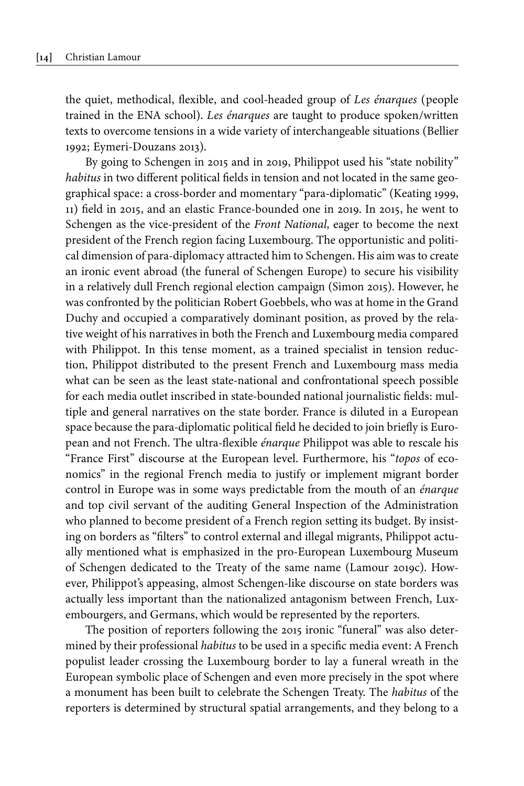the quiet, methodical, flexible, and cool-headed group of *Les énarques* (people trained in the ENA school). *Les énarques* are taught to produce spoken/written texts to overcome tensions in a wide variety of interchangeable situations [\(Bellier](#page-18-11) [1992;](#page-18-11) [Eymeri-Douzans](#page-19-16) 2013).

By going to Schengen in 2015 and in 2019, Philippot used his "state nobility" *habitus* in two different political fields in tension and not located in the same geographical space: a cross-border and momentary "para-diplomatic" ([Keating 1999,](#page-19-11) 11) field in 2015, and an elastic France-bounded one in 2019. In 2015, he went to Schengen as the vice-president of the *Front National*, eager to become the next president of the French region facing Luxembourg. The opportunistic and political dimension of para-diplomacy attracted him to Schengen. His aim was to create an ironic event abroad (the funeral of Schengen Europe) to secure his visibility in a relatively dull French regional election campaign ([Simon 2015\)](#page-21-10). However, he was confronted by the politician Robert Goebbels, who was at home in the Grand Duchy and occupied a comparatively dominant position, as proved by the relative weight of his narratives in both the French and Luxembourg media compared with Philippot. In this tense moment, as a trained specialist in tension reduction, Philippot distributed to the present French and Luxembourg mass media what can be seen as the least state-national and confrontational speech possible for each media outlet inscribed in state-bounded national journalistic fields: multiple and general narratives on the state border. France is diluted in a European space because the para-diplomatic political field he decided to join briefly is European and not French. The ultra-flexible *énarque* Philippot was able to rescale his "France First" discourse at the European level. Furthermore, his "*topos* of economics" in the regional French media to justify or implement migrant border control in Europe was in some ways predictable from the mouth of an *énarque* and top civil servant of the auditing General Inspection of the Administration who planned to become president of a French region setting its budget. By insisting on borders as "filters" to control external and illegal migrants, Philippot actually mentioned what is emphasized in the pro-European Luxembourg Museum of Schengen dedicated to the Treaty of the same name ([Lamour 2019c](#page-20-13)). However, Philippot's appeasing, almost Schengen-like discourse on state borders was actually less important than the nationalized antagonism between French, Luxembourgers, and Germans, which would be represented by the reporters.

The position of reporters following the 2015 ironic "funeral" was also determined by their professional *habitus* to be used in a specific media event: A French populist leader crossing the Luxembourg border to lay a funeral wreath in the European symbolic place of Schengen and even more precisely in the spot where a monument has been built to celebrate the Schengen Treaty. The *habitus* of the reporters is determined by structural spatial arrangements, and they belong to a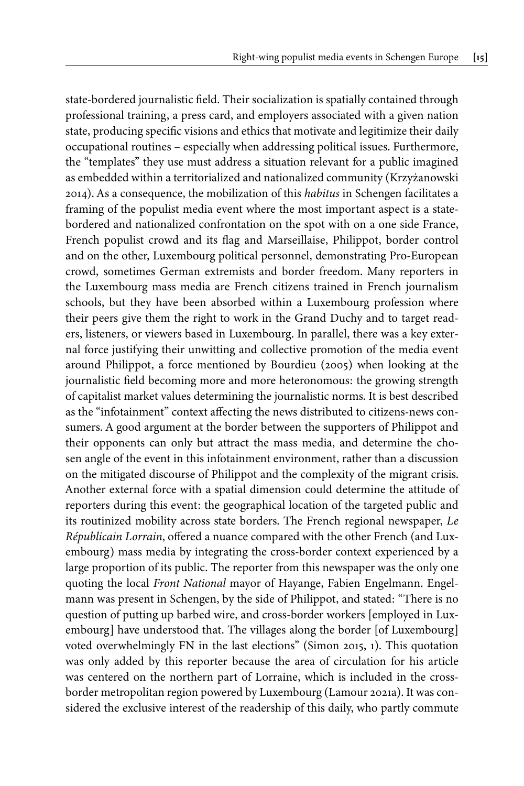state-bordered journalistic field. Their socialization is spatially contained through professional training, a press card, and employers associated with a given nation state, producing specific visions and ethics that motivate and legitimize their daily occupational routines – especially when addressing political issues. Furthermore, the "templates" they use must address a situation relevant for a public imagined as embedded within a territorialized and nationalized community [\(Krzyżanowski](#page-19-10) [2014](#page-19-10)). As a consequence, the mobilization of this *habitus* in Schengen facilitates a framing of the populist media event where the most important aspect is a statebordered and nationalized confrontation on the spot with on a one side France, French populist crowd and its flag and Marseillaise, Philippot, border control and on the other, Luxembourg political personnel, demonstrating Pro-European crowd, sometimes German extremists and border freedom. Many reporters in the Luxembourg mass media are French citizens trained in French journalism schools, but they have been absorbed within a Luxembourg profession where their peers give them the right to work in the Grand Duchy and to target readers, listeners, or viewers based in Luxembourg. In parallel, there was a key external force justifying their unwitting and collective promotion of the media event around Philippot, a force mentioned by [Bourdieu \(2005\)](#page-18-7) when looking at the journalistic field becoming more and more heteronomous: the growing strength of capitalist market values determining the journalistic norms. It is best described as the "infotainment" context affecting the news distributed to citizens-news consumers. A good argument at the border between the supporters of Philippot and their opponents can only but attract the mass media, and determine the chosen angle of the event in this infotainment environment, rather than a discussion on the mitigated discourse of Philippot and the complexity of the migrant crisis. Another external force with a spatial dimension could determine the attitude of reporters during this event: the geographical location of the targeted public and its routinized mobility across state borders. The French regional newspaper, *Le Républicain Lorrain*, offered a nuance compared with the other French (and Luxembourg) mass media by integrating the cross-border context experienced by a large proportion of its public. The reporter from this newspaper was the only one quoting the local *Front National* mayor of Hayange, Fabien Engelmann. Engelmann was present in Schengen, by the side of Philippot, and stated: "There is no question of putting up barbed wire, and cross-border workers [employed in Luxembourg] have understood that. The villages along the border [of Luxembourg] voted overwhelmingly FN in the last elections" [\(Simon 2015,](#page-21-10) 1). This quotation was only added by this reporter because the area of circulation for his article was centered on the northern part of Lorraine, which is included in the crossborder metropolitan region powered by Luxembourg [\(Lamour 2021a](#page-20-1)). It was considered the exclusive interest of the readership of this daily, who partly commute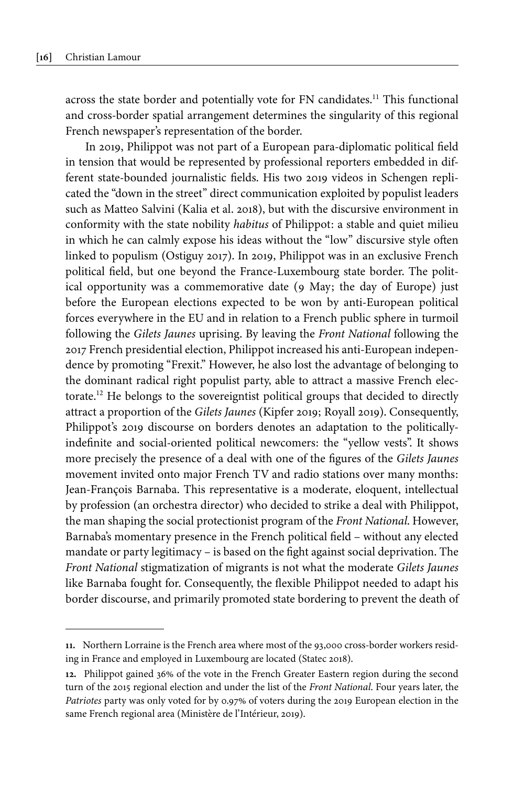across the state border and potentially vote for FN candidates.<sup>11</sup> This functional and cross-border spatial arrangement determines the singularity of this regional French newspaper's representation of the border.

In 2019, Philippot was not part of a European para-diplomatic political field in tension that would be represented by professional reporters embedded in different state-bounded journalistic fields. His two 2019 videos in Schengen replicated the "down in the street" direct communication exploited by populist leaders such as Matteo Salvini ([Kalia et](#page-19-5) al. 2018), but with the discursive environment in conformity with the state nobility *habitus* of Philippot: a stable and quiet milieu in which he can calmly expose his ideas without the "low" discursive style often linked to populism [\(Ostiguy 2017](#page-20-6)). In 2019, Philippot was in an exclusive French political field, but one beyond the France-Luxembourg state border. The political opportunity was a commemorative date (9 May; the day of Europe) just before the European elections expected to be won by anti-European political forces everywhere in the EU and in relation to a French public sphere in turmoil following the *Gilets Jaunes* uprising. By leaving the *Front National* following the 2017 French presidential election, Philippot increased his anti-European independence by promoting "Frexit." However, he also lost the advantage of belonging to the dominant radical right populist party, able to attract a massive French electorate. <sup>12</sup> He belongs to the sovereigntist political groups that decided to directly attract a proportion of the *Gilets Jaunes* ([Kipfer 2019](#page-19-12); [Royall 2019\)](#page-20-8). Consequently, Philippot's 2019 discourse on borders denotes an adaptation to the politicallyindefinite and social-oriented political newcomers: the "yellow vests". It shows more precisely the presence of a deal with one of the figures of the *Gilets Jaunes* movement invited onto major French TV and radio stations over many months: Jean-François Barnaba. This representative is a moderate, eloquent, intellectual by profession (an orchestra director) who decided to strike a deal with Philippot, the man shaping the social protectionist program of the *Front National*. However, Barnaba's momentary presence in the French political field – without any elected mandate or party legitimacy – is based on the fight against social deprivation. The *Front National* stigmatization of migrants is not what the moderate *Gilets Jaunes* like Barnaba fought for. Consequently, the flexible Philippot needed to adapt his border discourse, and primarily promoted state bordering to prevent the death of

**<sup>11.</sup>** Northern Lorraine is the French area where most of the 93,000 cross-border workers residing in France and employed in Luxembourg are located [\(Statec 2018\)](#page-21-11).

**<sup>12.</sup>** Philippot gained 36% of the vote in the French Greater Eastern region during the second turn of the 2015 regional election and under the list of the *Front National*. Four years later, the *Patriotes* party was only voted for by 0.97% of voters during the 2019 European election in the same French regional area [\(Ministère de l'Intérieur, 2019](#page-20-14)).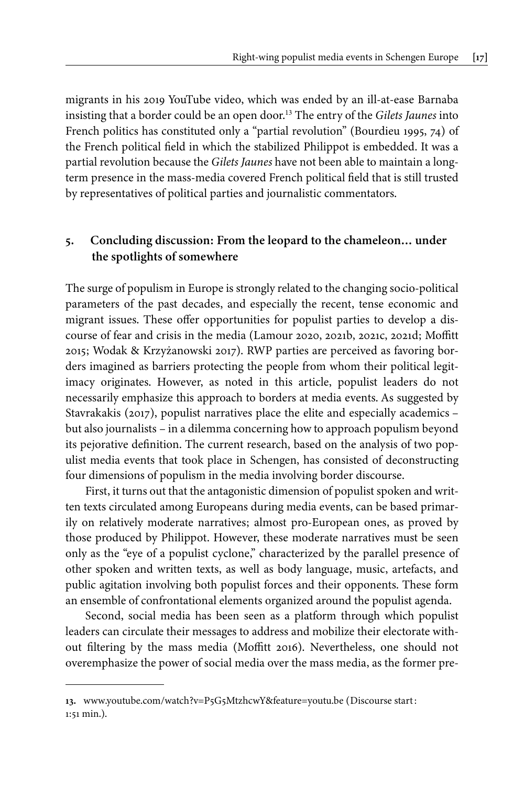migrants in his 2019 YouTube video, which was ended by an ill-at-ease Barnaba insisting that a border could be an open door. <sup>13</sup> The entry of the *Gilets Jaunes* into French politics has constituted only a "partial revolution" ([Bourdieu 1995](#page-18-5), 74) of the French political field in which the stabilized Philippot is embedded. It was a partial revolution because the *Gilets Jaunes* have not been able to maintain a longterm presence in the mass-media covered French political field that is still trusted by representatives of political parties and journalistic commentators.

#### **5. Concluding discussion: From the leopard to the chameleon… under the spotlights of somewhere**

The surge of populism in Europe is strongly related to the changing socio-political parameters of the past decades, and especially the recent, tense economic and migrant issues. These offer opportunities for populist parties to develop a discourse of fear and crisis in the media [\(Lamour 2020](#page-20-4), [2021b](#page-20-2), [2021c](#page-20-9), [2021d](#page-20-10); [Moffitt](#page-20-15) [2015](#page-20-15); [Wodak & Krzyżanowski 2017\)](#page-21-3). RWP parties are perceived as favoring borders imagined as barriers protecting the people from whom their political legitimacy originates. However, as noted in this article, populist leaders do not necessarily emphasize this approach to borders at media events. As suggested by [Stavrakakis \(2017\),](#page-21-12) populist narratives place the elite and especially academics – but also journalists – in a dilemma concerning how to approach populism beyond its pejorative definition. The current research, based on the analysis of two populist media events that took place in Schengen, has consisted of deconstructing four dimensions of populism in the media involving border discourse.

First, it turns out that the antagonistic dimension of populist spoken and written texts circulated among Europeans during media events, can be based primarily on relatively moderate narratives; almost pro-European ones, as proved by those produced by Philippot. However, these moderate narratives must be seen only as the "eye of a populist cyclone," characterized by the parallel presence of other spoken and written texts, as well as body language, music, artefacts, and public agitation involving both populist forces and their opponents. These form an ensemble of confrontational elements organized around the populist agenda.

Second, social media has been seen as a platform through which populist leaders can circulate their messages to address and mobilize their electorate without filtering by the mass media [\(Moffitt 2016\)](#page-20-16). Nevertheless, one should not overemphasize the power of social media over the mass media, as the former pre-

**<sup>13.</sup>** [www.youtube.com/watch?v=P5G5MtzhcwY&feature=youtu.be](http://www.youtube.com/watch?v=P5G5MtzhcwY&feature=youtu.be) (Discourse start: 1:51 min.).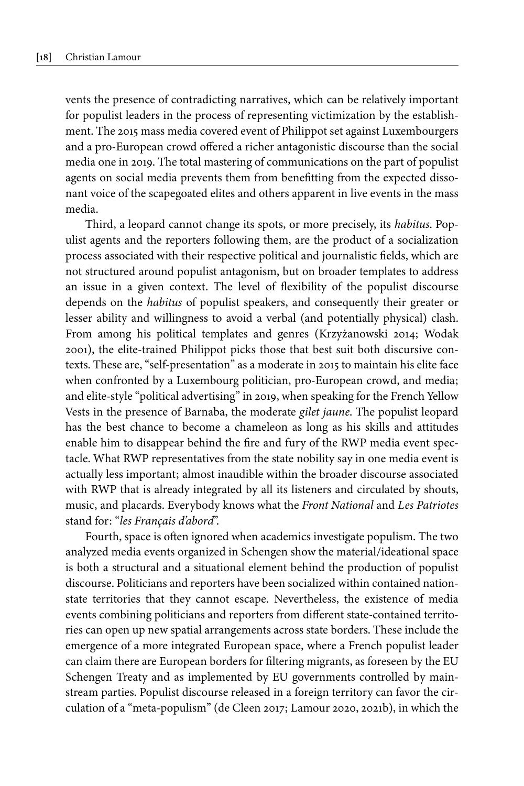vents the presence of contradicting narratives, which can be relatively important for populist leaders in the process of representing victimization by the establishment. The 2015 mass media covered event of Philippot set against Luxembourgers and a pro-European crowd offered a richer antagonistic discourse than the social media one in 2019. The total mastering of communications on the part of populist agents on social media prevents them from benefitting from the expected dissonant voice of the scapegoated elites and others apparent in live events in the mass media.

Third, a leopard cannot change its spots, or more precisely, its *habitus*. Populist agents and the reporters following them, are the product of a socialization process associated with their respective political and journalistic fields, which are not structured around populist antagonism, but on broader templates to address an issue in a given context. The level of flexibility of the populist discourse depends on the *habitus* of populist speakers, and consequently their greater or lesser ability and willingness to avoid a verbal (and potentially physical) clash. From among his political templates and genres [\(Krzyżanowski 2014](#page-19-10); [Wodak](#page-21-2) [2001\)](#page-21-2), the elite-trained Philippot picks those that best suit both discursive contexts. These are, "self-presentation" as a moderate in 2015 to maintain his elite face when confronted by a Luxembourg politician, pro-European crowd, and media; and elite-style "political advertising" in 2019, when speaking for the French Yellow Vests in the presence of Barnaba, the moderate *gilet jaune*. The populist leopard has the best chance to become a chameleon as long as his skills and attitudes enable him to disappear behind the fire and fury of the RWP media event spectacle. What RWP representatives from the state nobility say in one media event is actually less important; almost inaudible within the broader discourse associated with RWP that is already integrated by all its listeners and circulated by shouts, music, and placards. Everybody knows what the *Front National* and *Les Patriotes* stand for: "*les Français d'abord*".

Fourth, space is often ignored when academics investigate populism. The two analyzed media events organized in Schengen show the material/ideational space is both a structural and a situational element behind the production of populist discourse. Politicians and reporters have been socialized within contained nationstate territories that they cannot escape. Nevertheless, the existence of media events combining politicians and reporters from different state-contained territories can open up new spatial arrangements across state borders. These include the emergence of a more integrated European space, where a French populist leader can claim there are European borders for filtering migrants, as foreseen by the EU Schengen Treaty and as implemented by EU governments controlled by mainstream parties. Populist discourse released in a foreign territory can favor the circulation of a "meta-populism" ([de Cleen 2017](#page-19-4); [Lamour 2020](#page-20-4), [2021b](#page-20-2)), in which the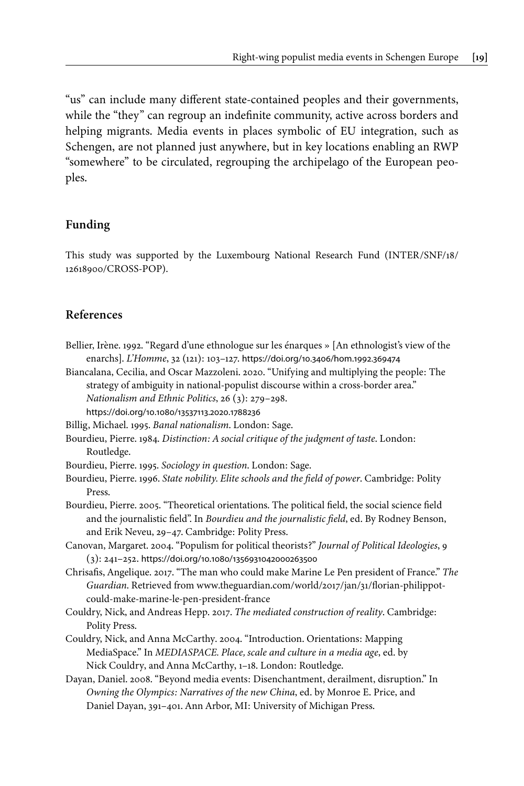"us" can include many different state-contained peoples and their governments, while the "they" can regroup an indefinite community, active across borders and helping migrants. Media events in places symbolic of EU integration, such as Schengen, are not planned just anywhere, but in key locations enabling an RWP "somewhere" to be circulated, regrouping the archipelago of the European peoples.

#### **Funding**

<span id="page-18-12"></span>This study was supported by the Luxembourg National Research Fund [\(INTER/SNF/18/](#page-18-12) [12618900/CROSS-POP](#page-18-12)).

#### **References**

- <span id="page-18-11"></span>Bellier, Irène. 1992. "Regard d'une ethnologue sur les énarques » [An ethnologist's view of the enarchs]. *L'Homme*, 32 (121): 103–127. [https://doi.org/10.3406/hom.1992.369474](https://doi.org/10.3406%2Fhom.1992.369474)
- <span id="page-18-8"></span>Biancalana, Cecilia, and Oscar Mazzoleni. 2020. "Unifying and multiplying the people: The strategy of ambiguity in national-populist discourse within a cross-border area." *Nationalism and Ethnic Politics*, 26 (3): 279–298.
	- [https://doi.org/10.1080/13537113.2020.1788236](https://doi.org/10.1080%2F13537113.2020.1788236)
- <span id="page-18-2"></span>Billig, Michael. 1995. *Banal nationalism*. London: Sage.
- <span id="page-18-6"></span>Bourdieu, Pierre. 1984. *Distinction: A social critique of the judgment of taste*. London: Routledge.
- <span id="page-18-5"></span>Bourdieu, Pierre. 1995. *Sociology in question*. London: Sage.
- <span id="page-18-10"></span>Bourdieu, Pierre. 1996. *State nobility. Elite schools and the field of power*. Cambridge: Polity Press.
- <span id="page-18-7"></span>Bourdieu, Pierre. 2005. "Theoretical orientations. The political field, the social science field and the journalistic field". In *Bourdieu and the journalistic field*, ed. By Rodney Benson, and Erik Neveu, 29–47. Cambridge: Polity Press.
- <span id="page-18-1"></span>Canovan, Margaret. 2004. "Populism for political theorists?" *Journal of Political Ideologies*, 9 (3): 241–252. [https://doi.org/10.1080/1356931042000263500](https://doi.org/10.1080%2F1356931042000263500)
- <span id="page-18-9"></span>Chrisafis, Angelique. 2017. "The man who could make Marine Le Pen president of France." *The Guardian*. Retrieved from [www.theguardian.com/world/2017/jan/31/florian-philippot](http://www.theguardian.com/world/2017/jan/31/florian-philippot-could-make-marine-le-pen-president-france)[could-make-marine-le-pen-president-france](http://www.theguardian.com/world/2017/jan/31/florian-philippot-could-make-marine-le-pen-president-france)
- <span id="page-18-4"></span>Couldry, Nick, and Andreas Hepp. 2017. *The mediated construction of reality*. Cambridge: Polity Press.
- <span id="page-18-3"></span>Couldry, Nick, and Anna McCarthy. 2004. "Introduction. Orientations: Mapping MediaSpace." In *MEDIASPACE. Place, scale and culture in a media age*, ed. by Nick Couldry, and Anna McCarthy, 1–18. London: Routledge.
- <span id="page-18-0"></span>Dayan, Daniel. 2008. "Beyond media events: Disenchantment, derailment, disruption." In *Owning the Olympics: Narratives of the new China*, ed. by Monroe E. Price, and Daniel Dayan, 391–401. Ann Arbor, MI: University of Michigan Press.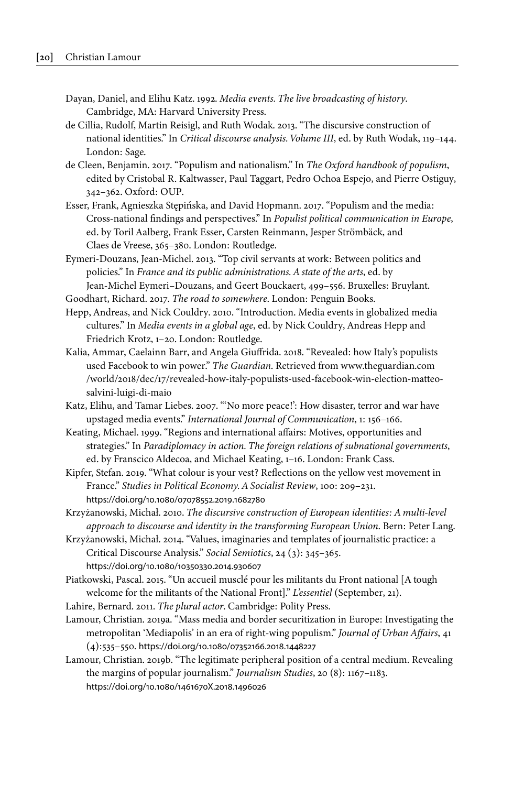- <span id="page-19-0"></span>Dayan, Daniel, and Elihu Katz. 1992. *Media events. The live broadcasting of history*. Cambridge, MA: Harvard University Press.
- <span id="page-19-14"></span>de Cillia, Rudolf, Martin Reisigl, and Ruth Wodak. 2013. "The discursive construction of national identities." In *Critical discourse analysis. Volume III*, ed. by Ruth Wodak, 119–144. London: Sage.
- <span id="page-19-4"></span>de Cleen, Benjamin. 2017. "Populism and nationalism." In *The Oxford handbook of populism*, edited by Cristobal R. Kaltwasser, Paul Taggart, Pedro Ochoa Espejo, and Pierre Ostiguy, 342–362. Oxford: OUP.
- <span id="page-19-6"></span>Esser, Frank, Agnieszka Stępińska, and David Hopmann. 2017. "Populism and the media: Cross-national findings and perspectives." In *Populist political communication in Europe*, ed. by Toril Aalberg, Frank Esser, Carsten Reinmann, Jesper Strömbäck, and Claes de Vreese, 365–380. London: Routledge.
- <span id="page-19-16"></span>Eymeri-Douzans, Jean-Michel. 2013. "Top civil servants at work: Between politics and policies." In *France and its public administrations. A state of the arts*, ed. by Jean-Michel Eymeri–Douzans, and Geert Bouckaert, 499–556. Bruxelles: Bruylant.
- <span id="page-19-13"></span>Goodhart, Richard. 2017. *The road to somewhere*. London: Penguin Books.
- <span id="page-19-2"></span>Hepp, Andreas, and Nick Couldry. 2010. "Introduction. Media events in globalized media cultures." In *Media events in a global age*, ed. by Nick Couldry, Andreas Hepp and Friedrich Krotz, 1–20. London: Routledge.
- <span id="page-19-5"></span>Kalia, Ammar, Caelainn Barr, and Angela Giuffrida. 2018. "Revealed: how Italy's populists used Facebook to win power." *The Guardian*. Retrieved from [www.theguardian.com](http://www.theguardian.com/world/2018/dec/17/revealed-how-italy-populists-used-facebook-win-election-matteo-salvini-luigi-di-maio) [/world/2018/dec/17/revealed-how-italy-populists-used-facebook-win-election-matteo](http://www.theguardian.com/world/2018/dec/17/revealed-how-italy-populists-used-facebook-win-election-matteo-salvini-luigi-di-maio)[salvini-luigi-di-maio](http://www.theguardian.com/world/2018/dec/17/revealed-how-italy-populists-used-facebook-win-election-matteo-salvini-luigi-di-maio)
- <span id="page-19-1"></span>Katz, Elihu, and Tamar Liebes. 2007. "'No more peace!': How disaster, terror and war have upstaged media events." *International Journal of Communication*, 1: 156–166.
- <span id="page-19-11"></span>Keating, Michael. 1999. "Regions and international affairs: Motives, opportunities and strategies." In *Paradiplomacy in action. The foreign relations of subnational governments*, ed. by Franscico Aldecoa, and Michael Keating, 1–16. London: Frank Cass.
- <span id="page-19-12"></span>Kipfer, Stefan. 2019. "What colour is your vest? Reflections on the yellow vest movement in France." *Studies in Political Economy. A Socialist Review*, 100: 209–231. [https://doi.org/10.1080/07078552.2019.1682780](https://doi.org/10.1080%2F07078552.2019.1682780)
- <span id="page-19-9"></span>Krzyżanowski, Michał. 2010. *The discursive construction of European identities: A multi-level approach to discourse and identity in the transforming European Union*. Bern: Peter Lang.
- <span id="page-19-10"></span>Krzyżanowski, Michał. 2014. "Values, imaginaries and templates of journalistic practice: a Critical Discourse Analysis." *Social Semiotics*, 24 (3): 345–365. [https://doi.org/10.1080/10350330.2014.930607](https://doi.org/10.1080%2F10350330.2014.930607)
- <span id="page-19-15"></span>Piatkowski, Pascal. 2015. "Un accueil musclé pour les militants du Front national [A tough welcome for the militants of the National Front]." *L'essentiel* (September, 21).
- <span id="page-19-8"></span>Lahire, Bernard. 2011. *The plural actor*. Cambridge: Polity Press.
- <span id="page-19-3"></span>Lamour, Christian. 2019a. "Mass media and border securitization in Europe: Investigating the metropolitan 'Mediapolis' in an era of right-wing populism." *Journal of Urban Affairs*, 41 (4):535–550. [https://doi.org/10.1080/07352166.2018.1448227](https://doi.org/10.1080%2F07352166.2018.1448227)
- <span id="page-19-7"></span>Lamour, Christian. 2019b. "The legitimate peripheral position of a central medium. Revealing the margins of popular journalism." *Journalism Studies*, 20 (8): 1167–1183. [https://doi.org/10.1080/1461670X.2018.1496026](https://doi.org/10.1080%2F1461670X.2018.1496026)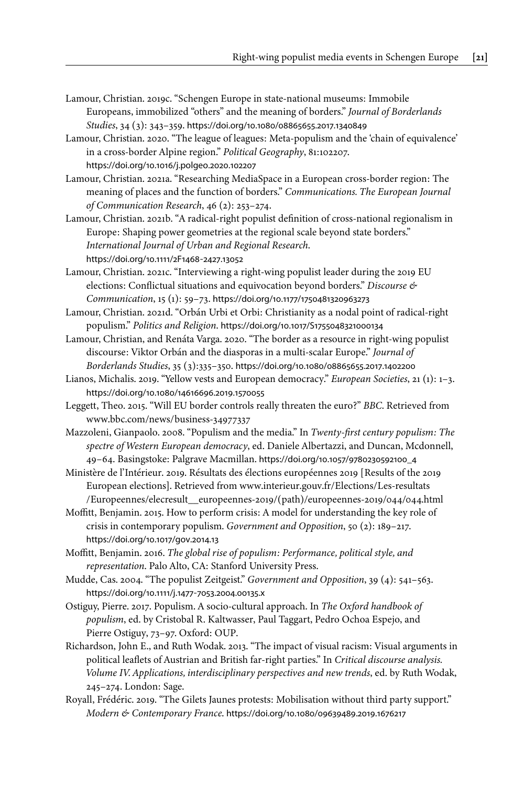- <span id="page-20-13"></span>Lamour, Christian. 2019c. "Schengen Europe in state-national museums: Immobile Europeans, immobilized "others" and the meaning of borders." *Journal of Borderlands Studies*, 34 (3): 343–359. [https://doi.org/10.1080/08865655.2017.1340849](https://doi.org/10.1080%2F08865655.2017.1340849)
- <span id="page-20-4"></span>Lamour, Christian. 2020. "The league of leagues: Meta-populism and the 'chain of equivalence' in a cross-border Alpine region." *Political Geography*, 81:102207. [https://doi.org/10.1016/j.polgeo.2020.102207](https://doi.org/10.1016%2Fj.polgeo.2020.102207)
- <span id="page-20-1"></span>Lamour, Christian. 2021a. "Researching MediaSpace in a European cross-border region: The meaning of places and the function of borders." *Communications. The European Journal of Communication Research*, 46 (2): 253–274.
- <span id="page-20-2"></span>Lamour, Christian. 2021b. "A radical-right populist definition of cross-national regionalism in Europe: Shaping power geometries at the regional scale beyond state borders." *International Journal of Urban and Regional Research*.

[https://doi.org/10.1111/2F1468](https://doi.org/10.1111%2F2F1468-2427.13052)‑2427.13052

- <span id="page-20-9"></span>Lamour, Christian. 2021c. "Interviewing a right-wing populist leader during the 2019 EU elections: Conflictual situations and equivocation beyond borders." *Discourse & Communication*, 15 (1): 59–73. [https://doi.org/10.1177/1750481320963273](https://doi.org/10.1177%2F1750481320963273)
- <span id="page-20-10"></span>Lamour, Christian. 2021d. "Orbán Urbi et Orbi: Christianity as a nodal point of radical-right populism." *Politics and Religion*. [https://doi.org/10.1017/S1755048321000134](https://doi.org/10.1017%2FS1755048321000134)
- <span id="page-20-3"></span>Lamour, Christian, and Renáta Varga. 2020. "The border as a resource in right-wing populist discourse: Viktor Orbán and the diasporas in a multi-scalar Europe." *Journal of Borderlands Studies*, 35 (3):335–350. [https://doi.org/10.1080/08865655.2017.1402200](https://doi.org/10.1080%2F08865655.2017.1402200)
- <span id="page-20-7"></span>Lianos, Michalis. 2019. "Yellow vests and European democracy." *European Societies*, 21 (1): 1–3. [https://doi.org/10.1080/14616696.2019.1570055](https://doi.org/10.1080%2F14616696.2019.1570055)
- <span id="page-20-12"></span>Leggett, Theo. 2015. "Will EU border controls really threaten the euro?" *BBC*. Retrieved from [www.bbc.com/news/business-34977337](http://www.bbc.com/news/business-34977337)
- <span id="page-20-5"></span>Mazzoleni, Gianpaolo. 2008. "Populism and the media." In *Twenty-first century populism: The spectre of Western European democracy*, ed. Daniele Albertazzi, and Duncan, Mcdonnell, 49–64. Basingstoke: Palgrave Macmillan. [https://doi.org/10.1057/9780230592100\\_4](https://doi.org/10.1057%2F9780230592100_4)
- <span id="page-20-14"></span>Ministère de l'Intérieur. 2019. Résultats des élections européennes 2019 [Results of the 2019 European elections]. Retrieved from [www.interieur.gouv.fr/Elections/Les-resultats](http://www.interieur.gouv.fr/Elections/Les-resultats/Europeennes/elecresult__europeennes-2019/(path)/europeennes-2019/044/044.html) [/Europeennes/elecresult\\_\\_europeennes-2019/\(path\)/europeennes-2019/044/044.html](http://www.interieur.gouv.fr/Elections/Les-resultats/Europeennes/elecresult__europeennes-2019/(path)/europeennes-2019/044/044.html)
- <span id="page-20-15"></span>Moffitt, Benjamin. 2015. How to perform crisis: A model for understanding the key role of crisis in contemporary populism. *Government and Opposition*, 50 (2): 189–217. [https://doi.org/10.1017/gov.2014.13](https://doi.org/10.1017%2Fgov.2014.13)
- <span id="page-20-16"></span>Moffitt, Benjamin. 2016. *The global rise of populism: Performance, political style, and representation*. Palo Alto, CA: Stanford University Press.
- <span id="page-20-0"></span>Mudde, Cas. 2004. "The populist Zeitgeist." *Government and Opposition*, 39 (4): 541–563. [https://doi.org/10.1111/j.1477](https://doi.org/10.1111%2Fj.1477-7053.2004.00135.x)‑7053.2004.00135.x
- <span id="page-20-6"></span>Ostiguy, Pierre. 2017. Populism. A socio-cultural approach. In *The Oxford handbook of populism*, ed. by Cristobal R. Kaltwasser, Paul Taggart, Pedro Ochoa Espejo, and Pierre Ostiguy, 73–97. Oxford: OUP.
- <span id="page-20-11"></span>Richardson, John E., and Ruth Wodak. 2013. "The impact of visual racism: Visual arguments in political leaflets of Austrian and British far-right parties." In *Critical discourse analysis. Volume IV. Applications, interdisciplinary perspectives and new trends*, ed. by Ruth Wodak, 245–274. London: Sage.
- <span id="page-20-8"></span>Royall, Frédéric. 2019. "The Gilets Jaunes protests: Mobilisation without third party support." *Modern & Contemporary France*. [https://doi.org/10.1080/09639489.2019.1676217](https://doi.org/10.1080%2F09639489.2019.1676217)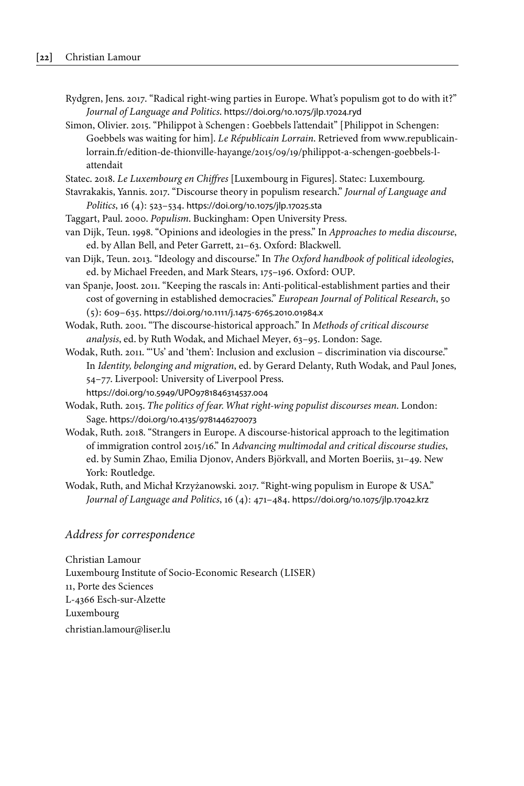- <span id="page-21-0"></span>Rydgren, Jens. 2017. "Radical right-wing parties in Europe. What's populism got to do with it?" *Journal of Language and Politics*. [https://doi.org/10.1075/jlp.17024.ryd](https://doi.org/10.1075%2Fjlp.17024.ryd)
- <span id="page-21-10"></span>Simon, Olivier. 2015. "Philippot à Schengen: Goebbels l'attendait" [Philippot in Schengen: Goebbels was waiting for him]. *Le Républicain Lorrain*. Retrieved from [www.republicain](http://www.republicain-lorrain.fr/edition-de-thionville-hayange/2015/09/19/philippot-a-schengen-goebbels-l-attendait)[lorrain.fr/edition-de-thionville-hayange/2015/09/19/philippot-a-schengen-goebbels-l](http://www.republicain-lorrain.fr/edition-de-thionville-hayange/2015/09/19/philippot-a-schengen-goebbels-l-attendait)[attendait](http://www.republicain-lorrain.fr/edition-de-thionville-hayange/2015/09/19/philippot-a-schengen-goebbels-l-attendait)

<span id="page-21-11"></span>Statec. 2018. *Le Luxembourg en Chiffres* [Luxembourg in Figures]. Statec: Luxembourg.

- <span id="page-21-12"></span>Stavrakakis, Yannis. 2017. "Discourse theory in populism research." *Journal of Language and Politics*, 16 (4): 523–534. [https://doi.org/10.1075/jlp.17025.sta](https://doi.org/10.1075%2Fjlp.17025.sta)
- <span id="page-21-6"></span>Taggart, Paul. 2000. *Populism*. Buckingham: Open University Press.
- <span id="page-21-7"></span>van Dijk, Teun. 1998. "Opinions and ideologies in the press." In *Approaches to media discourse*, ed. by Allan Bell, and Peter Garrett, 21–63. Oxford: Blackwell.
- <span id="page-21-8"></span>van Dijk, Teun. 2013. "Ideology and discourse." In *The Oxford handbook of political ideologies*, ed. by Michael Freeden, and Mark Stears, 175–196. Oxford: OUP.
- <span id="page-21-1"></span>van Spanje, Joost. 2011. "Keeping the rascals in: Anti-political-establishment parties and their cost of governing in established democracies." *European Journal of Political Research*, 50 (5): 609–635. [https://doi.org/10.1111/j.1475](https://doi.org/10.1111%2Fj.1475-6765.2010.01984.x)‑6765.2010.01984.x
- <span id="page-21-2"></span>Wodak, Ruth. 2001. "The discourse-historical approach." In *Methods of critical discourse analysis*, ed. by Ruth Wodak, and Michael Meyer, 63–95. London: Sage.
- <span id="page-21-4"></span>Wodak, Ruth. 2011. "'Us' and 'them': Inclusion and exclusion – discrimination via discourse." In *Identity, belonging and migration*, ed. by Gerard Delanty, Ruth Wodak, and Paul Jones, 54–77. Liverpool: University of Liverpool Press. [https://doi.org/10.5949/UPO9781846314537.004](https://doi.org/10.5949%2FUPO9781846314537.004)
- <span id="page-21-9"></span>Wodak, Ruth. 2015. *The politics of fear. What right-wing populist discourses mean*. London: Sage. [https://doi.org/10.4135/9781446270073](https://doi.org/10.4135%2F9781446270073)
- <span id="page-21-5"></span>Wodak, Ruth. 2018. "Strangers in Europe. A discourse-historical approach to the legitimation of immigration control 2015/16." In *Advancing multimodal and critical discourse studies*, ed. by Sumin Zhao, Emilia Djonov, Anders Björkvall, and Morten Boeriis, 31–49. New York: Routledge.
- <span id="page-21-3"></span>Wodak, Ruth, and Michał Krzyżanowski. 2017. "Right-wing populism in Europe & USA." *Journal of Language and Politics*, 16 (4): 471–484. [https://doi.org/10.1075/jlp.17042.krz](https://doi.org/10.1075%2Fjlp.17042.krz)

#### *Address for correspondence*

Christian Lamour Luxembourg Institute of Socio-Economic Research (LISER) 11, Porte des Sciences L-4366 Esch-sur-Alzette Luxembourg [christian.lamour@liser.lu](mailto:christian.lamour@liser.lu)